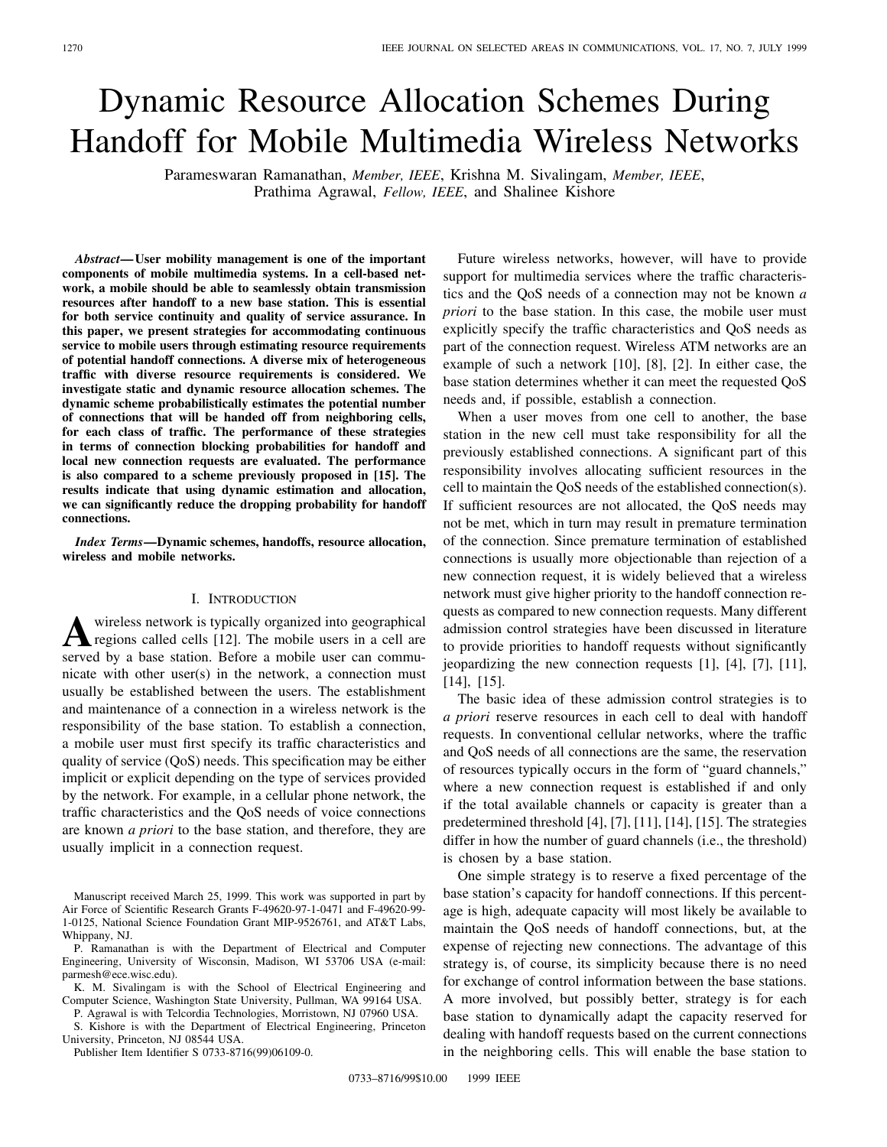# Dynamic Resource Allocation Schemes During Handoff for Mobile Multimedia Wireless Networks

Parameswaran Ramanathan, *Member, IEEE*, Krishna M. Sivalingam, *Member, IEEE*, Prathima Agrawal, *Fellow, IEEE*, and Shalinee Kishore

*Abstract—***User mobility management is one of the important components of mobile multimedia systems. In a cell-based network, a mobile should be able to seamlessly obtain transmission resources after handoff to a new base station. This is essential for both service continuity and quality of service assurance. In this paper, we present strategies for accommodating continuous service to mobile users through estimating resource requirements of potential handoff connections. A diverse mix of heterogeneous traffic with diverse resource requirements is considered. We investigate static and dynamic resource allocation schemes. The dynamic scheme probabilistically estimates the potential number of connections that will be handed off from neighboring cells, for each class of traffic. The performance of these strategies in terms of connection blocking probabilities for handoff and local new connection requests are evaluated. The performance is also compared to a scheme previously proposed in [15]. The results indicate that using dynamic estimation and allocation, we can significantly reduce the dropping probability for handoff connections.**

*Index Terms—***Dynamic schemes, handoffs, resource allocation, wireless and mobile networks.**

## I. INTRODUCTION

**A** wireless network is typically organized into geographical regions called cells [12]. The mobile users in a cell are served by a base station. Before a mobile user can commuwireless network is typically organized into geographical regions called cells [12]. The mobile users in a cell are nicate with other user(s) in the network, a connection must usually be established between the users. The establishment and maintenance of a connection in a wireless network is the responsibility of the base station. To establish a connection, a mobile user must first specify its traffic characteristics and quality of service (QoS) needs. This specification may be either implicit or explicit depending on the type of services provided by the network. For example, in a cellular phone network, the traffic characteristics and the QoS needs of voice connections are known *a priori* to the base station, and therefore, they are usually implicit in a connection request.

P. Ramanathan is with the Department of Electrical and Computer Engineering, University of Wisconsin, Madison, WI 53706 USA (e-mail: parmesh@ece.wisc.edu).

S. Kishore is with the Department of Electrical Engineering, Princeton University, Princeton, NJ 08544 USA.

Publisher Item Identifier S 0733-8716(99)06109-0.

Future wireless networks, however, will have to provide support for multimedia services where the traffic characteristics and the QoS needs of a connection may not be known *a priori* to the base station. In this case, the mobile user must explicitly specify the traffic characteristics and QoS needs as part of the connection request. Wireless ATM networks are an example of such a network [10], [8], [2]. In either case, the base station determines whether it can meet the requested QoS needs and, if possible, establish a connection.

When a user moves from one cell to another, the base station in the new cell must take responsibility for all the previously established connections. A significant part of this responsibility involves allocating sufficient resources in the cell to maintain the QoS needs of the established connection(s). If sufficient resources are not allocated, the QoS needs may not be met, which in turn may result in premature termination of the connection. Since premature termination of established connections is usually more objectionable than rejection of a new connection request, it is widely believed that a wireless network must give higher priority to the handoff connection requests as compared to new connection requests. Many different admission control strategies have been discussed in literature to provide priorities to handoff requests without significantly jeopardizing the new connection requests [1], [4], [7], [11], [14], [15].

The basic idea of these admission control strategies is to *a priori* reserve resources in each cell to deal with handoff requests. In conventional cellular networks, where the traffic and QoS needs of all connections are the same, the reservation of resources typically occurs in the form of "guard channels," where a new connection request is established if and only if the total available channels or capacity is greater than a predetermined threshold [4], [7], [11], [14], [15]. The strategies differ in how the number of guard channels (i.e., the threshold) is chosen by a base station.

One simple strategy is to reserve a fixed percentage of the base station's capacity for handoff connections. If this percentage is high, adequate capacity will most likely be available to maintain the QoS needs of handoff connections, but, at the expense of rejecting new connections. The advantage of this strategy is, of course, its simplicity because there is no need for exchange of control information between the base stations. A more involved, but possibly better, strategy is for each base station to dynamically adapt the capacity reserved for dealing with handoff requests based on the current connections in the neighboring cells. This will enable the base station to

Manuscript received March 25, 1999. This work was supported in part by Air Force of Scientific Research Grants F-49620-97-1-0471 and F-49620-99- 1-0125, National Science Foundation Grant MIP-9526761, and AT&T Labs, Whippany, NJ.

K. M. Sivalingam is with the School of Electrical Engineering and Computer Science, Washington State University, Pullman, WA 99164 USA. P. Agrawal is with Telcordia Technologies, Morristown, NJ 07960 USA.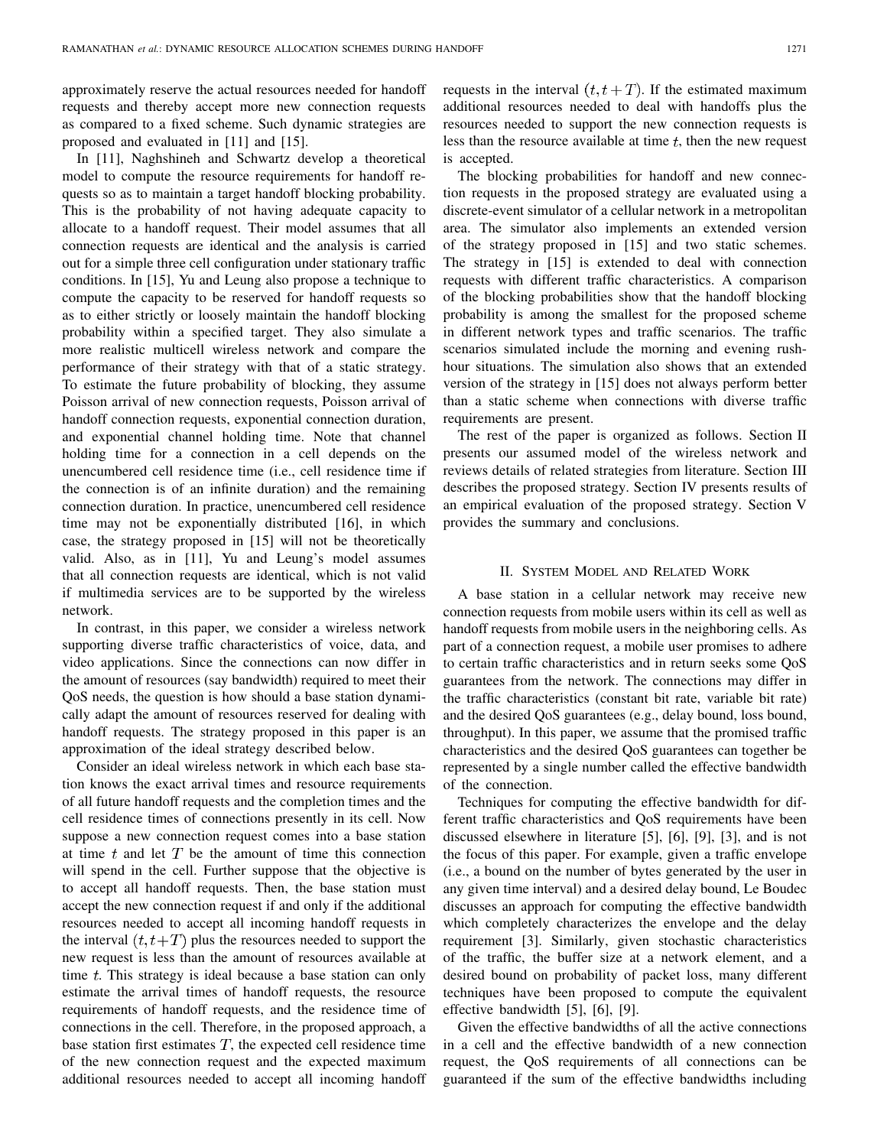approximately reserve the actual resources needed for handoff requests and thereby accept more new connection requests as compared to a fixed scheme. Such dynamic strategies are proposed and evaluated in [11] and [15].

In [11], Naghshineh and Schwartz develop a theoretical model to compute the resource requirements for handoff requests so as to maintain a target handoff blocking probability. This is the probability of not having adequate capacity to allocate to a handoff request. Their model assumes that all connection requests are identical and the analysis is carried out for a simple three cell configuration under stationary traffic conditions. In [15], Yu and Leung also propose a technique to compute the capacity to be reserved for handoff requests so as to either strictly or loosely maintain the handoff blocking probability within a specified target. They also simulate a more realistic multicell wireless network and compare the performance of their strategy with that of a static strategy. To estimate the future probability of blocking, they assume Poisson arrival of new connection requests, Poisson arrival of handoff connection requests, exponential connection duration, and exponential channel holding time. Note that channel holding time for a connection in a cell depends on the unencumbered cell residence time (i.e., cell residence time if the connection is of an infinite duration) and the remaining connection duration. In practice, unencumbered cell residence time may not be exponentially distributed [16], in which case, the strategy proposed in [15] will not be theoretically valid. Also, as in [11], Yu and Leung's model assumes that all connection requests are identical, which is not valid if multimedia services are to be supported by the wireless network.

In contrast, in this paper, we consider a wireless network supporting diverse traffic characteristics of voice, data, and video applications. Since the connections can now differ in the amount of resources (say bandwidth) required to meet their QoS needs, the question is how should a base station dynamically adapt the amount of resources reserved for dealing with handoff requests. The strategy proposed in this paper is an approximation of the ideal strategy described below.

Consider an ideal wireless network in which each base station knows the exact arrival times and resource requirements of all future handoff requests and the completion times and the cell residence times of connections presently in its cell. Now suppose a new connection request comes into a base station at time  $t$  and let  $T$  be the amount of time this connection will spend in the cell. Further suppose that the objective is to accept all handoff requests. Then, the base station must accept the new connection request if and only if the additional resources needed to accept all incoming handoff requests in the interval  $(t, t+T)$  plus the resources needed to support the new request is less than the amount of resources available at time  $t$ . This strategy is ideal because a base station can only estimate the arrival times of handoff requests, the resource requirements of handoff requests, and the residence time of connections in the cell. Therefore, in the proposed approach, a base station first estimates  $T$ , the expected cell residence time of the new connection request and the expected maximum additional resources needed to accept all incoming handoff requests in the interval  $(t, t + T)$ . If the estimated maximum additional resources needed to deal with handoffs plus the resources needed to support the new connection requests is less than the resource available at time  $t$ , then the new request is accepted.

The blocking probabilities for handoff and new connection requests in the proposed strategy are evaluated using a discrete-event simulator of a cellular network in a metropolitan area. The simulator also implements an extended version of the strategy proposed in [15] and two static schemes. The strategy in [15] is extended to deal with connection requests with different traffic characteristics. A comparison of the blocking probabilities show that the handoff blocking probability is among the smallest for the proposed scheme in different network types and traffic scenarios. The traffic scenarios simulated include the morning and evening rushhour situations. The simulation also shows that an extended version of the strategy in [15] does not always perform better than a static scheme when connections with diverse traffic requirements are present.

The rest of the paper is organized as follows. Section II presents our assumed model of the wireless network and reviews details of related strategies from literature. Section III describes the proposed strategy. Section IV presents results of an empirical evaluation of the proposed strategy. Section V provides the summary and conclusions.

#### II. SYSTEM MODEL AND RELATED WORK

A base station in a cellular network may receive new connection requests from mobile users within its cell as well as handoff requests from mobile users in the neighboring cells. As part of a connection request, a mobile user promises to adhere to certain traffic characteristics and in return seeks some QoS guarantees from the network. The connections may differ in the traffic characteristics (constant bit rate, variable bit rate) and the desired QoS guarantees (e.g., delay bound, loss bound, throughput). In this paper, we assume that the promised traffic characteristics and the desired QoS guarantees can together be represented by a single number called the effective bandwidth of the connection.

Techniques for computing the effective bandwidth for different traffic characteristics and QoS requirements have been discussed elsewhere in literature [5], [6], [9], [3], and is not the focus of this paper. For example, given a traffic envelope (i.e., a bound on the number of bytes generated by the user in any given time interval) and a desired delay bound, Le Boudec discusses an approach for computing the effective bandwidth which completely characterizes the envelope and the delay requirement [3]. Similarly, given stochastic characteristics of the traffic, the buffer size at a network element, and a desired bound on probability of packet loss, many different techniques have been proposed to compute the equivalent effective bandwidth [5], [6], [9].

Given the effective bandwidths of all the active connections in a cell and the effective bandwidth of a new connection request, the QoS requirements of all connections can be guaranteed if the sum of the effective bandwidths including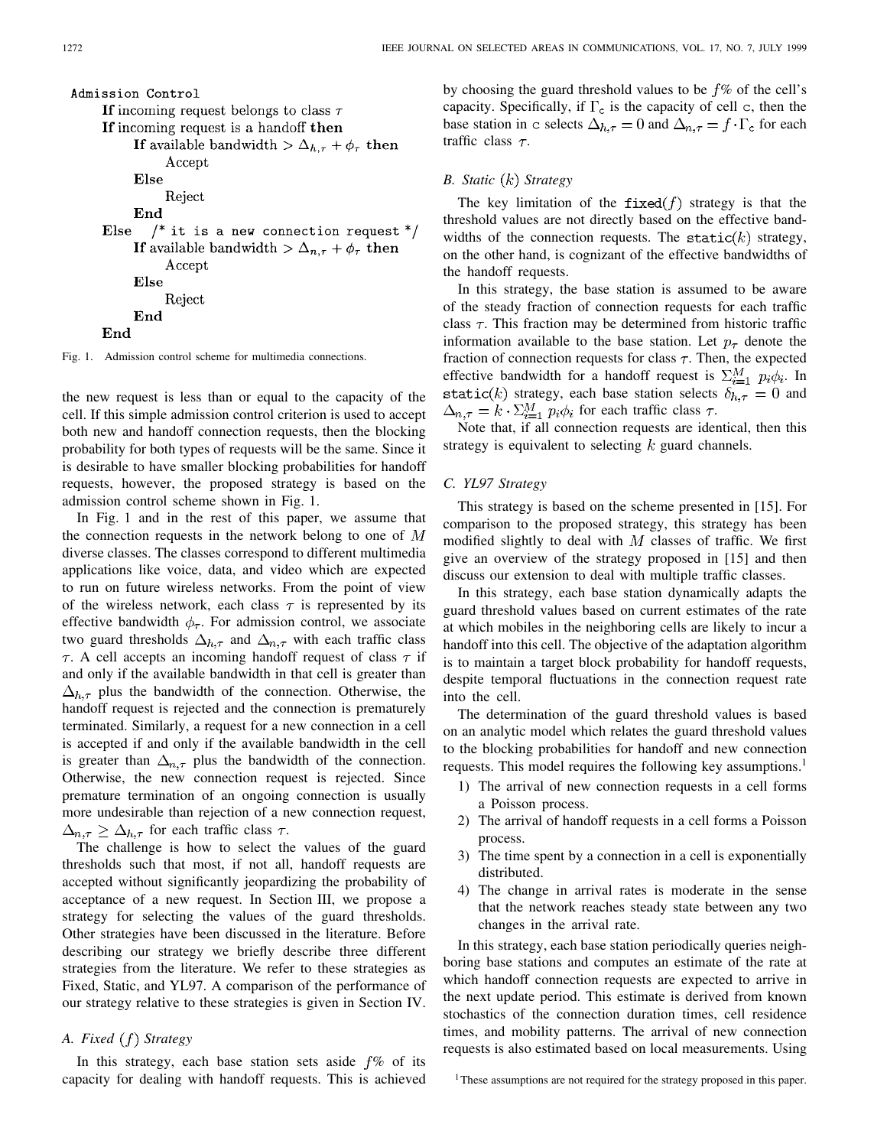Fig. 1. Admission control scheme for multimedia connections.

the new request is less than or equal to the capacity of the cell. If this simple admission control criterion is used to accept both new and handoff connection requests, then the blocking probability for both types of requests will be the same. Since it is desirable to have smaller blocking probabilities for handoff requests, however, the proposed strategy is based on the admission control scheme shown in Fig. 1.

In Fig. 1 and in the rest of this paper, we assume that the connection requests in the network belong to one of  $M$ diverse classes. The classes correspond to different multimedia applications like voice, data, and video which are expected to run on future wireless networks. From the point of view of the wireless network, each class  $\tau$  is represented by its effective bandwidth  $\phi_{\tau}$ . For admission control, we associate two guard thresholds  $\Delta_{h,\tau}$  and  $\Delta_{n,\tau}$  with each traffic class  $\tau$ . A cell accepts an incoming handoff request of class  $\tau$  if and only if the available bandwidth in that cell is greater than  $\Delta_{h,\tau}$  plus the bandwidth of the connection. Otherwise, the handoff request is rejected and the connection is prematurely terminated. Similarly, a request for a new connection in a cell is accepted if and only if the available bandwidth in the cell is greater than  $\Delta_{n,\tau}$  plus the bandwidth of the connection. Otherwise, the new connection request is rejected. Since premature termination of an ongoing connection is usually more undesirable than rejection of a new connection request,  $\Delta_{n,\tau} \geq \Delta_{h,\tau}$  for each traffic class  $\tau$ .

The challenge is how to select the values of the guard thresholds such that most, if not all, handoff requests are accepted without significantly jeopardizing the probability of acceptance of a new request. In Section III, we propose a strategy for selecting the values of the guard thresholds. Other strategies have been discussed in the literature. Before describing our strategy we briefly describe three different strategies from the literature. We refer to these strategies as Fixed, Static, and YL97. A comparison of the performance of our strategy relative to these strategies is given in Section IV.

# *A. Fixed Strategy*

In this strategy, each base station sets aside  $f\%$  of its capacity for dealing with handoff requests. This is achieved by choosing the guard threshold values to be  $f\%$  of the cell's capacity. Specifically, if  $\Gamma_c$  is the capacity of cell c, then the base station in c selects  $\Delta_{h,\tau} = 0$  and  $\Delta_{n,\tau} = f \cdot \Gamma_c$  for each traffic class  $\tau$ .

## *B. Static Strategy*

The key limitation of the  $fixed(f)$  strategy is that the threshold values are not directly based on the effective bandwidths of the connection requests. The static( $k$ ) strategy, on the other hand, is cognizant of the effective bandwidths of the handoff requests.

In this strategy, the base station is assumed to be aware of the steady fraction of connection requests for each traffic class  $\tau$ . This fraction may be determined from historic traffic information available to the base station. Let  $p_{\tau}$  denote the fraction of connection requests for class  $\tau$ . Then, the expected effective bandwidth for a handoff request is  $\sum_{i=1}^{M} p_i \phi_i$ . In static(k) strategy, each base station selects  $\delta_{h,\tau} = 0$  and  $\Delta_{n,\tau} = k \cdot \Sigma_{i=1}^{M} p_i \phi_i$  for each traffic class  $\tau$ .

Note that, if all connection requests are identical, then this strategy is equivalent to selecting  $k$  guard channels.

# *C. YL97 Strategy*

This strategy is based on the scheme presented in [15]. For comparison to the proposed strategy, this strategy has been modified slightly to deal with  $M$  classes of traffic. We first give an overview of the strategy proposed in [15] and then discuss our extension to deal with multiple traffic classes.

In this strategy, each base station dynamically adapts the guard threshold values based on current estimates of the rate at which mobiles in the neighboring cells are likely to incur a handoff into this cell. The objective of the adaptation algorithm is to maintain a target block probability for handoff requests, despite temporal fluctuations in the connection request rate into the cell.

The determination of the guard threshold values is based on an analytic model which relates the guard threshold values to the blocking probabilities for handoff and new connection requests. This model requires the following key assumptions.<sup>1</sup>

- 1) The arrival of new connection requests in a cell forms a Poisson process.
- 2) The arrival of handoff requests in a cell forms a Poisson process.
- 3) The time spent by a connection in a cell is exponentially distributed.
- 4) The change in arrival rates is moderate in the sense that the network reaches steady state between any two changes in the arrival rate.

In this strategy, each base station periodically queries neighboring base stations and computes an estimate of the rate at which handoff connection requests are expected to arrive in the next update period. This estimate is derived from known stochastics of the connection duration times, cell residence times, and mobility patterns. The arrival of new connection requests is also estimated based on local measurements. Using

<sup>&</sup>lt;sup>1</sup>These assumptions are not required for the strategy proposed in this paper.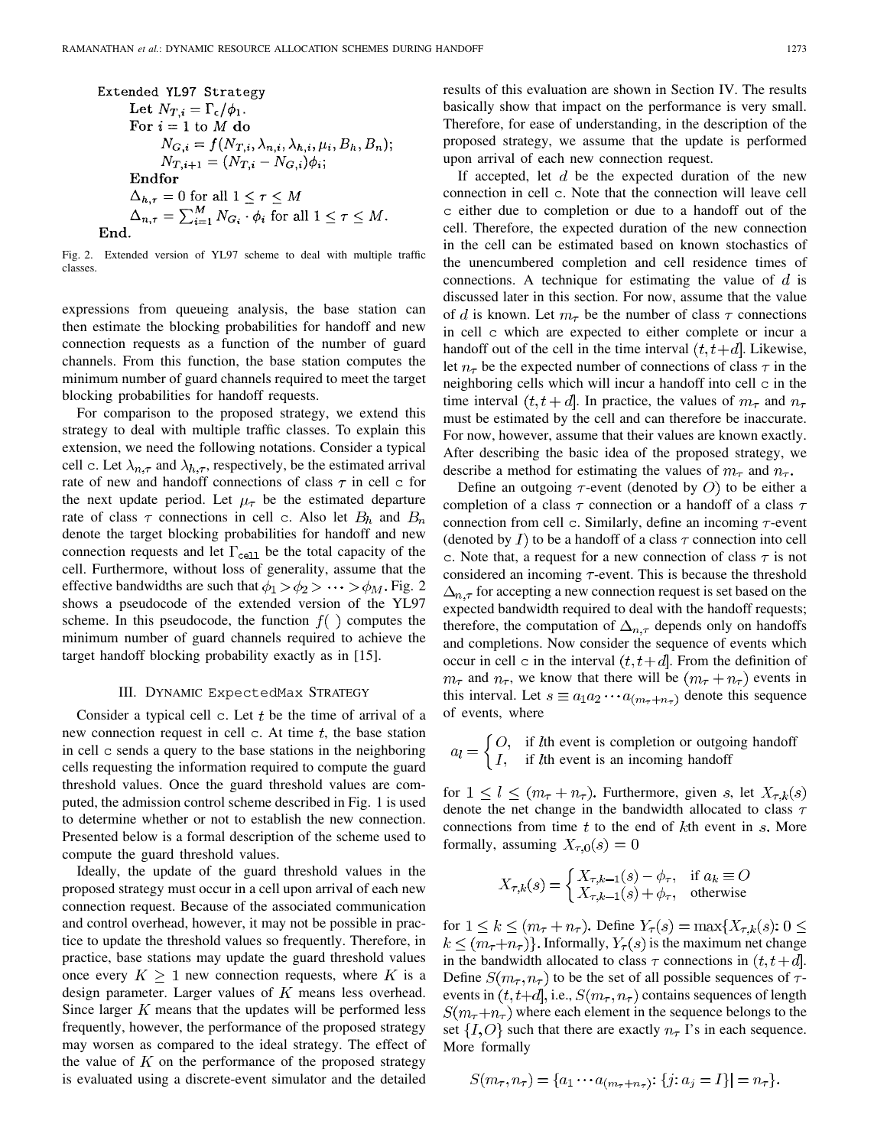Extended YL97 Strategy

\nLet 
$$
N_{T,i} = \Gamma_c/\phi_1
$$
.

\nFor  $i = 1$  to  $M$  do

\n $N_{G,i} = f(N_{T,i}, \lambda_{n,i}, \lambda_{h,i}, \mu_i, B_h, B_n);$ 

\n $N_{T,i+1} = (N_{T,i} - N_{G,i})\phi_i;$ 

\nEndfor

\n $\Delta_{h,\tau} = 0$  for all  $1 \leq \tau \leq M$ 

\n $\Delta_{n,\tau} = \sum_{i=1}^M N_{G_i} \cdot \phi_i$  for all  $1 \leq \tau \leq M$ .

\nEnd.

Fig. 2. Extended version of YL97 scheme to deal with multiple traffic classes.

expressions from queueing analysis, the base station can then estimate the blocking probabilities for handoff and new connection requests as a function of the number of guard channels. From this function, the base station computes the minimum number of guard channels required to meet the target blocking probabilities for handoff requests.

For comparison to the proposed strategy, we extend this strategy to deal with multiple traffic classes. To explain this extension, we need the following notations. Consider a typical cell c. Let  $\lambda_{n,\tau}$  and  $\lambda_{h,\tau}$ , respectively, be the estimated arrival rate of new and handoff connections of class  $\tau$  in cell c for the next update period. Let  $\mu_{\tau}$  be the estimated departure rate of class  $\tau$  connections in cell c. Also let  $B_h$  and  $B_n$ denote the target blocking probabilities for handoff and new connection requests and let  $\Gamma_{\text{cell}}$  be the total capacity of the cell. Furthermore, without loss of generality, assume that the effective bandwidths are such that  $\phi_1 > \phi_2 > \cdots > \phi_M$ . Fig. 2 shows a pseudocode of the extended version of the YL97 scheme. In this pseudocode, the function  $f()$  computes the minimum number of guard channels required to achieve the target handoff blocking probability exactly as in [15].

## III. DYNAMIC ExpectedMax STRATEGY

Consider a typical cell  $c$ . Let  $t$  be the time of arrival of a new connection request in cell  $\sigma$ . At time t, the base station in cell c sends a query to the base stations in the neighboring cells requesting the information required to compute the guard threshold values. Once the guard threshold values are computed, the admission control scheme described in Fig. 1 is used to determine whether or not to establish the new connection. Presented below is a formal description of the scheme used to compute the guard threshold values.

Ideally, the update of the guard threshold values in the proposed strategy must occur in a cell upon arrival of each new connection request. Because of the associated communication and control overhead, however, it may not be possible in practice to update the threshold values so frequently. Therefore, in practice, base stations may update the guard threshold values once every  $K \geq 1$  new connection requests, where K is a design parameter. Larger values of  $K$  means less overhead. Since larger  $K$  means that the updates will be performed less frequently, however, the performance of the proposed strategy may worsen as compared to the ideal strategy. The effect of the value of  $K$  on the performance of the proposed strategy is evaluated using a discrete-event simulator and the detailed

results of this evaluation are shown in Section IV. The results basically show that impact on the performance is very small. Therefore, for ease of understanding, in the description of the proposed strategy, we assume that the update is performed upon arrival of each new connection request.

If accepted, let  $d$  be the expected duration of the new connection in cell c. Note that the connection will leave cell c either due to completion or due to a handoff out of the cell. Therefore, the expected duration of the new connection in the cell can be estimated based on known stochastics of the unencumbered completion and cell residence times of connections. A technique for estimating the value of  $d$  is discussed later in this section. For now, assume that the value of d is known. Let  $m_{\tau}$  be the number of class  $\tau$  connections in cell c which are expected to either complete or incur a handoff out of the cell in the time interval  $(t, t+d]$ . Likewise, let  $n_{\tau}$  be the expected number of connections of class  $\tau$  in the neighboring cells which will incur a handoff into cell c in the time interval  $(t, t + d]$ . In practice, the values of  $m<sub>\tau</sub>$  and  $n<sub>\tau</sub>$ must be estimated by the cell and can therefore be inaccurate. For now, however, assume that their values are known exactly. After describing the basic idea of the proposed strategy, we describe a method for estimating the values of  $m_{\tau}$  and  $n_{\tau}$ .

Define an outgoing  $\tau$ -event (denoted by O) to be either a completion of a class  $\tau$  connection or a handoff of a class  $\tau$ connection from cell c. Similarly, define an incoming  $\tau$ -event (denoted by  $I$ ) to be a handoff of a class  $\tau$  connection into cell c. Note that, a request for a new connection of class  $\tau$  is not considered an incoming  $\tau$ -event. This is because the threshold  $\Delta_{n,\tau}$  for accepting a new connection request is set based on the expected bandwidth required to deal with the handoff requests; therefore, the computation of  $\Delta_{n,\tau}$  depends only on handoffs and completions. Now consider the sequence of events which occur in cell c in the interval  $(t, t+d]$ . From the definition of  $m_{\tau}$  and  $n_{\tau}$ , we know that there will be  $(m_{\tau} + n_{\tau})$  events in this interval. Let  $s \equiv a_1 a_2 \cdots a_{m_{\tau}+n_{\tau}}$  denote this sequence of events, where

$$
a_l = \begin{cases} O, & \text{if } l \text{th event is completion or outgoing handoff} \\ I, & \text{if } l \text{th event is an incoming handoff} \end{cases}
$$

for  $1 \leq l \leq (m_{\tau}+n_{\tau})$ . Furthermore, given s, let  $X_{\tau,k}(s)$ denote the net change in the bandwidth allocated to class  $\tau$ connections from time  $t$  to the end of  $k$ th event in  $s$ . More formally, assuming  $X_{\tau,0}(s) = 0$ 

$$
X_{\tau,k}(s) = \begin{cases} X_{\tau,k-1}(s) - \phi_{\tau}, & \text{if } a_k \equiv O \\ X_{\tau,k-1}(s) + \phi_{\tau}, & \text{otherwise} \end{cases}
$$

for  $1 \leq k \leq (m_{\tau} + n_{\tau})$ . Define  $Y_{\tau}(s) = \max\{X_{\tau,k}(s): 0 \leq$  $k \leq (m_{\tau}+n_{\tau})\}$ . Informally,  $Y_{\tau}(s)$  is the maximum net change in the bandwidth allocated to class  $\tau$  connections in  $(t, t+d]$ . Define  $S(m_{\tau}, n_{\tau})$  to be the set of all possible sequences of  $\tau$ events in  $(t, t+d]$ , i.e.,  $S(m_{\tau}, n_{\tau})$  contains sequences of length  $S(m_{\tau}+n_{\tau})$  where each element in the sequence belongs to the set  $\{I, O\}$  such that there are exactly  $n_{\tau}$  I's in each sequence. More formally

$$
S(m_{\tau}, n_{\tau}) = \{a_1 \cdots a_{(m_{\tau}+n_{\tau})}: \{j: a_j = I\}| = n_{\tau}\}.
$$

 $\overline{1}$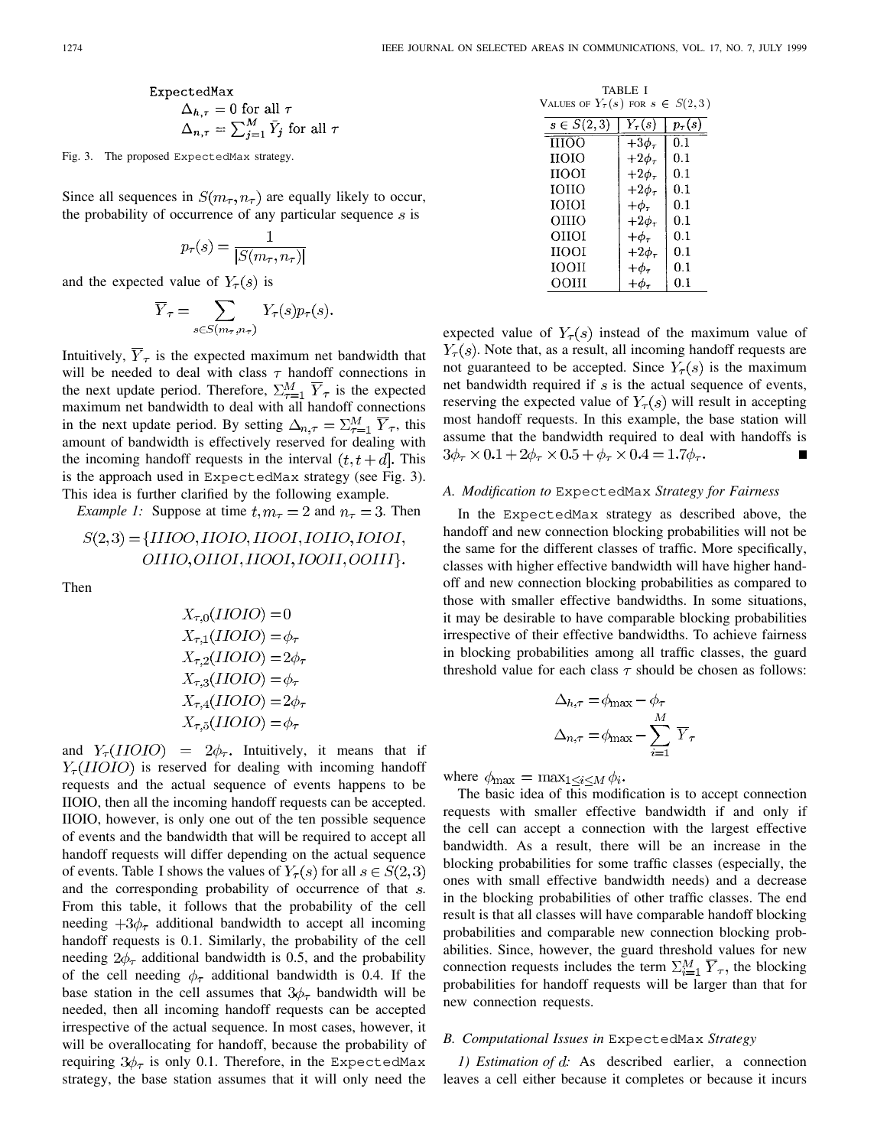ExpectedMax  
\n
$$
\Delta_{h,\tau} = 0 \text{ for all } \tau
$$
\n
$$
\Delta_{n,\tau} = \sum_{j=1}^{M} \bar{Y}_j \text{ for all } \tau
$$

Fig. 3. The proposed ExpectedMax strategy.

Since all sequences in  $S(m_\tau, n_\tau)$  are equally likely to occur, the probability of occurrence of any particular sequence  $s$  is

$$
p_\tau(s) = \frac{1}{|S(m_\tau,n_\tau)|}
$$

and the expected value of  $Y_{\tau}(s)$  is

$$
\overline{Y}_{\tau} = \sum_{s \in S(m_{\tau}, n_{\tau})} Y_{\tau}(s) p_{\tau}(s).
$$

Intuitively,  $\overline{Y}_{\tau}$  is the expected maximum net bandwidth that will be needed to deal with class  $\tau$  handoff connections in the next update period. Therefore,  $\Sigma_{\tau=1}^M \overline{Y}_{\tau}$  is the expected maximum net bandwidth to deal with all handoff connections in the next update period. By setting  $\Delta_{n,\tau} = \sum_{\tau=1}^{M} \overline{Y}_{\tau}$ , this amount of bandwidth is effectively reserved for dealing with the incoming handoff requests in the interval  $(t, t + d)$ . This is the approach used in ExpectedMax strategy (see Fig. 3). This idea is further clarified by the following example.

*Example 1:* Suppose at time  $t, m_\tau = 2$  and  $n_\tau = 3$ . Then

$$
S(2,3) = \{IIIOO, IIOIO, IIOOI, IOIIO, IOIOI, I
$$
  
OIIIO, OIIOI, IIOOI, IOOII, OOIII}.

Then

$$
X_{\tau,0}(II OIO) = 0
$$
  
\n
$$
X_{\tau,1}(II OIO) = \phi_{\tau}
$$
  
\n
$$
X_{\tau,2}(II OIO) = 2\phi_{\tau}
$$
  
\n
$$
X_{\tau,3}(II OIO) = \phi_{\tau}
$$
  
\n
$$
X_{\tau,4}(II OIO) = 2\phi_{\tau}
$$
  
\n
$$
X_{\tau,5}(II OIO) = \phi_{\tau}
$$

and  $Y_{\tau}(II OIO) = 2\phi_{\tau}$ . Intuitively, it means that if  $Y_{\tau}(II OIO)$  is reserved for dealing with incoming handoff requests and the actual sequence of events happens to be IIOIO, then all the incoming handoff requests can be accepted. IIOIO, however, is only one out of the ten possible sequence of events and the bandwidth that will be required to accept all handoff requests will differ depending on the actual sequence of events. Table I shows the values of  $Y_\tau(s)$  for all  $s \in S(2,3)$ and the corresponding probability of occurrence of that s. From this table, it follows that the probability of the cell needing  $+3\phi_\tau$  additional bandwidth to accept all incoming handoff requests is 0.1. Similarly, the probability of the cell needing  $2\phi_\tau$  additional bandwidth is 0.5, and the probability of the cell needing  $\phi_{\tau}$  additional bandwidth is 0.4. If the base station in the cell assumes that  $3\phi_\tau$  bandwidth will be needed, then all incoming handoff requests can be accepted irrespective of the actual sequence. In most cases, however, it will be overallocating for handoff, because the probability of requiring  $3\phi_\tau$  is only 0.1. Therefore, in the ExpectedMax strategy, the base station assumes that it will only need the

| VALUES OF $Y_{\tau}(s)$ for $s \in S(2,3)$ | TABLE I         |               |
|--------------------------------------------|-----------------|---------------|
| $s \in S(2,\overline{3})$                  | $Y_\tau(s)$     | $p_{\tau}(s)$ |
| <b>THOO</b>                                | $+3\phi_\tau$   | 0.1           |
| ною                                        | $+2\phi_\tau$   | 0.1           |
| <b>HOOL</b>                                | $+2\phi_\tau$   | 0.1           |
| <b>IOHO</b>                                | $+2\phi_\tau$   | 0.1           |
| ююн                                        | $+\phi_\tau$    | 0.1           |
| OHIO                                       | $+2\phi_\tau$   | 0.1           |
| оног                                       | $+\phi_\tau$    | 0.1           |
| ноог                                       | $+2\phi_\tau$   | 0.1           |
| <b>IOOH</b>                                | $+\phi_{\tau}$  | 0.1           |
| оош                                        | $+ \phi_{\tau}$ | $0.1\,$       |

expected value of  $Y_\tau(s)$  instead of the maximum value of  $Y_\tau(s)$ . Note that, as a result, all incoming handoff requests are not guaranteed to be accepted. Since  $Y_\tau(s)$  is the maximum net bandwidth required if  $s$  is the actual sequence of events, reserving the expected value of  $Y_\tau(s)$  will result in accepting most handoff requests. In this example, the base station will assume that the bandwidth required to deal with handoffs is  $3\phi_{\tau} \times 0.1 + 2\phi_{\tau} \times 0.5 + \phi_{\tau} \times 0.4 = 1.7\phi_{\tau}$ .

#### *A. Modification to* ExpectedMax *Strategy for Fairness*

In the ExpectedMax strategy as described above, the handoff and new connection blocking probabilities will not be the same for the different classes of traffic. More specifically, classes with higher effective bandwidth will have higher handoff and new connection blocking probabilities as compared to those with smaller effective bandwidths. In some situations, it may be desirable to have comparable blocking probabilities irrespective of their effective bandwidths. To achieve fairness in blocking probabilities among all traffic classes, the guard threshold value for each class  $\tau$  should be chosen as follows:

$$
\Delta_{h,\tau} = \phi_{\text{max}} - \phi_{\tau}
$$

$$
\Delta_{n,\tau} = \phi_{\text{max}} - \sum_{i=1}^{M} \overline{Y}_{\tau}
$$

where  $\phi_{\text{max}} = \max_{1 \leq i \leq M} \phi_i$ .

The basic idea of this modification is to accept connection requests with smaller effective bandwidth if and only if the cell can accept a connection with the largest effective bandwidth. As a result, there will be an increase in the blocking probabilities for some traffic classes (especially, the ones with small effective bandwidth needs) and a decrease in the blocking probabilities of other traffic classes. The end result is that all classes will have comparable handoff blocking probabilities and comparable new connection blocking probabilities. Since, however, the guard threshold values for new connection requests includes the term  $\sum_{i=1}^{M} \overline{Y}_{\tau}$ , the blocking probabilities for handoff requests will be larger than that for new connection requests.

#### *B. Computational Issues in* ExpectedMax *Strategy*

*1) Estimation of d:* As described earlier, a connection leaves a cell either because it completes or because it incurs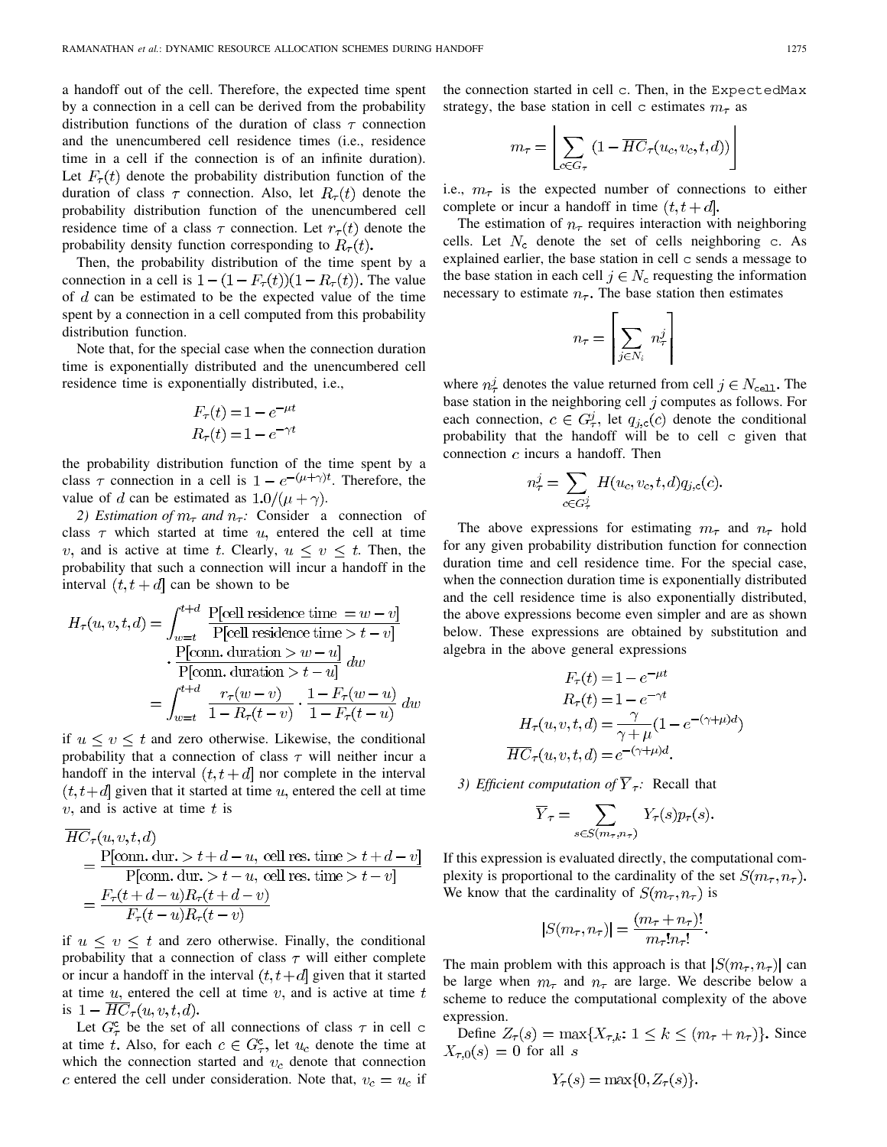a handoff out of the cell. Therefore, the expected time spent by a connection in a cell can be derived from the probability distribution functions of the duration of class  $\tau$  connection and the unencumbered cell residence times (i.e., residence time in a cell if the connection is of an infinite duration). Let  $F_{\tau}(t)$  denote the probability distribution function of the duration of class  $\tau$  connection. Also, let  $R_{\tau}(t)$  denote the probability distribution function of the unencumbered cell residence time of a class  $\tau$  connection. Let  $r_{\tau}(t)$  denote the probability density function corresponding to  $R_{\tau}(t)$ .

Then, the probability distribution of the time spent by a connection in a cell is  $1 - (1 - F<sub>\tau</sub>(t))(1 - R<sub>\tau</sub>(t))$ . The value of  $d$  can be estimated to be the expected value of the time spent by a connection in a cell computed from this probability distribution function.

Note that, for the special case when the connection duration time is exponentially distributed and the unencumbered cell residence time is exponentially distributed, i.e.,

$$
F_{\tau}(t) = 1 - e^{-\mu t}
$$

$$
R_{\tau}(t) = 1 - e^{-\gamma t}
$$

the probability distribution function of the time spent by a class  $\tau$  connection in a cell is  $1 - e^{-(\mu + \gamma)t}$ . Therefore, the value of d can be estimated as  $1.0/(\mu + \gamma)$ .

2) Estimation of  $m_{\tau}$  and  $n_{\tau}$ : Consider a connection of class  $\tau$  which started at time  $u$ , entered the cell at time v, and is active at time t. Clearly,  $u \le v \le t$ . Then, the probability that such a connection will incur a handoff in the interval  $(t, t + d)$  can be shown to be

$$
H_{\tau}(u, v, t, d) = \int_{w=t}^{t+d} \frac{\text{P[cell residence time} = w - v]}{\text{P[cell residence time} > t - v]}
$$

$$
\cdot \frac{\text{P[conn. duration} > w - u]}{\text{P[conn. duration} > t - u]} dw
$$

$$
= \int_{w=t}^{t+d} \frac{r_{\tau}(w - v)}{1 - R_{\tau}(t - v)} \cdot \frac{1 - F_{\tau}(w - u)}{1 - F_{\tau}(t - u)} dw
$$

if  $u \le v \le t$  and zero otherwise. Likewise, the conditional probability that a connection of class  $\tau$  will neither incur a handoff in the interval  $(t, t + d)$  nor complete in the interval  $(t, t+d]$  given that it started at time u, entered the cell at time  $v$ , and is active at time  $t$  is

$$
HC_{\tau}(u, v, t, d)
$$
  
= 
$$
\frac{P[\text{conn.} \, du\tau, > t + d - u, \text{ cell res. time} > t + d - v]}{P[\text{conn.} \, du\tau, > t - u, \text{ cell res. time} > t - v]}
$$
  
= 
$$
\frac{F_{\tau}(t + d - u)R_{\tau}(t + d - v)}{F_{\tau}(t - u)R_{\tau}(t - v)}
$$

if  $u \le v \le t$  and zero otherwise. Finally, the conditional probability that a connection of class  $\tau$  will either complete or incur a handoff in the interval  $(t, t+d]$  given that it started at time  $u$ , entered the cell at time  $v$ , and is active at time  $t$ is  $1 - \overline{HC}_{\tau}(u, v, t, d)$ .

Let  $G_{\tau}^{\rm c}$  be the set of all connections of class  $\tau$  in cell c at time t. Also, for each  $c \in G_{\tau}^c$ , let  $u_c$  denote the time at which the connection started and  $v_c$  denote that connection c entered the cell under consideration. Note that,  $v_c = u_c$  if the connection started in cell c. Then, in the ExpectedMax strategy, the base station in cell c estimates  $m<sub>\tau</sub>$  as

$$
m_{\tau} = \left[ \sum_{c \in G_{\tau}} \left( 1 - \overline{HC}_{\tau}(u_c, v_c, t, d) \right) \right]
$$

i.e.,  $m_{\tau}$  is the expected number of connections to either complete or incur a handoff in time  $(t, t + d)$ .

The estimation of  $n<sub>\tau</sub>$  requires interaction with neighboring cells. Let  $N_c$  denote the set of cells neighboring c. As explained earlier, the base station in cell c sends a message to the base station in each cell  $j \in N_c$  requesting the information necessary to estimate  $n_{\tau}$ . The base station then estimates

$$
n_{\tau} = \left| \sum_{j \in N_i} n_{\tau}^j \right|
$$

where  $n_{\tau}^{j}$  denotes the value returned from cell  $j \in N_{\text{cell}}$ . The base station in the neighboring cell  $j$  computes as follows. For each connection,  $c \in G^j_\tau$ , let  $q_{j,c}(c)$  denote the conditional probability that the handoff will be to cell c given that connection  $c$  incurs a handoff. Then

$$
n_{\tau}^{j} = \sum_{c \in G_{\tau}^{j}} H(u_c, v_c, t, d) q_{j,c}(c).
$$

The above expressions for estimating  $m_{\tau}$  and  $n_{\tau}$  hold for any given probability distribution function for connection duration time and cell residence time. For the special case, when the connection duration time is exponentially distributed and the cell residence time is also exponentially distributed, the above expressions become even simpler and are as shown below. These expressions are obtained by substitution and algebra in the above general expressions

$$
F_{\tau}(t) = 1 - e^{-\mu t}
$$

$$
R_{\tau}(t) = 1 - e^{-\gamma t}
$$

$$
H_{\tau}(u, v, t, d) = \frac{\gamma}{\gamma + \mu} (1 - e^{-(\gamma + \mu)d})
$$

$$
\overline{HC}_{\tau}(u, v, t, d) = e^{-(\gamma + \mu)d}.
$$

*3) Efficient computation of*  $\overline{Y}_{\tau}$ : Recall that

$$
\overline{Y}_{\tau} = \sum_{s \in S(m_{\tau}, n_{\tau})} Y_{\tau}(s) p_{\tau}(s).
$$

If this expression is evaluated directly, the computational complexity is proportional to the cardinality of the set  $S(m_\tau, n_\tau)$ . We know that the cardinality of  $S(m_\tau, n_\tau)$  is

$$
|S(m_{\tau}, n_{\tau})| = \frac{(m_{\tau} + n_{\tau})!}{m_{\tau}! n_{\tau}!}.
$$

The main problem with this approach is that  $|S(m_\tau,n_\tau)|$  can be large when  $m_{\tau}$  and  $n_{\tau}$  are large. We describe below a scheme to reduce the computational complexity of the above expression.

Define  $Z_{\tau}(s) = \max\{X_{\tau,k}: 1 \leq k \leq (m_{\tau} + n_{\tau})\}$ . Since  $X_{\tau,0}(s) = 0$  for all s

$$
Y_{\tau}(s) = \max\{0, Z_{\tau}(s)\}\
$$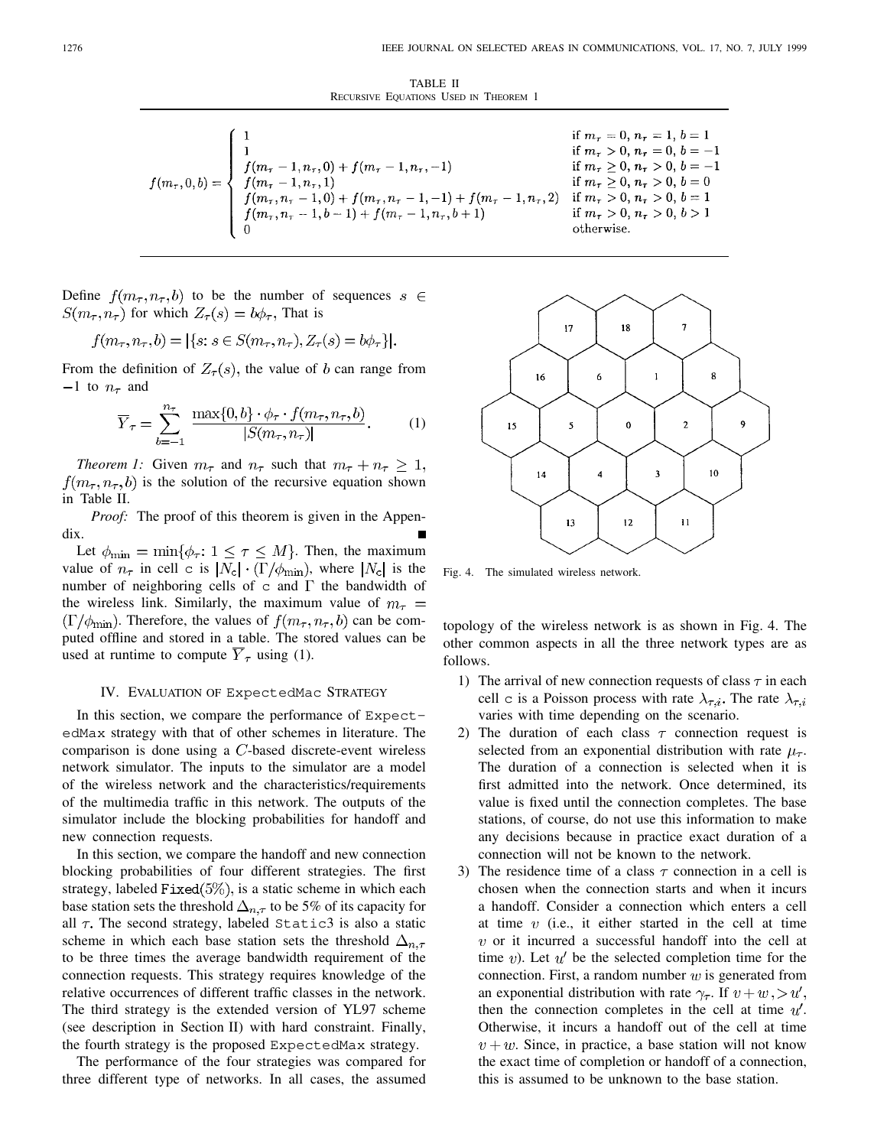TABLE II RECURSIVE EQUATIONS USED IN THEOREM 1

$$
f(m_{\tau},0,b) = \begin{cases} 1 & \text{if } m_{\tau} = 0, n_{\tau} = 1, b = 1 \\ 1 & \text{if } m_{\tau} > 0, n_{\tau} = 0, b = -1 \\ f(m_{\tau} - 1, n_{\tau}, 1) & \text{if } m_{\tau} \ge 0, n_{\tau} > 0, b = -1 \\ f(m_{\tau} - 1, n_{\tau}, 1) & \text{if } m_{\tau} \ge 0, n_{\tau} > 0, b = 0 \\ f(m_{\tau}, n_{\tau} - 1, 0) + f(m_{\tau}, n_{\tau} - 1, -1) + f(m_{\tau} - 1, n_{\tau}, 2) & \text{if } m_{\tau} > 0, n_{\tau} > 0, b = 1 \\ f(m_{\tau}, n_{\tau} - 1, b - 1) + f(m_{\tau} - 1, n_{\tau}, b + 1) & \text{if } m_{\tau} > 0, n_{\tau} > 0, b > 1 \\ 0 & \text{otherwise.} \end{cases}
$$

Define  $f(m_\tau, n_\tau, b)$  to be the number of sequences  $s \in$  $S(m_{\tau}, n_{\tau})$  for which  $Z_{\tau}(s) = b\phi_{\tau}$ , That is

$$
f(m_{\tau}, n_{\tau}, b) = |\{s : s \in S(m_{\tau}, n_{\tau}), Z_{\tau}(s) = b\phi_{\tau}\}|.
$$

From the definition of  $Z_{\tau}(s)$ , the value of b can range from  $-1$  to  $n_{\tau}$  and

$$
\overline{Y}_{\tau} = \sum_{b=-1}^{n_{\tau}} \frac{\max\{0, b\} \cdot \phi_{\tau} \cdot f(m_{\tau}, n_{\tau}, b)}{|S(m_{\tau}, n_{\tau})|}.
$$
 (1)

*Theorem 1:* Given  $m_{\tau}$  and  $n_{\tau}$  such that  $m_{\tau} + n_{\tau} \geq 1$ ,  $f(m_\tau, n_\tau, b)$  is the solution of the recursive equation shown in Table II.

*Proof:* The proof of this theorem is given in the Appendix.

Let  $\phi_{\min} = \min\{\phi_{\tau}: 1 \leq \tau \leq M\}$ . Then, the maximum value of  $n_{\tau}$  in cell c is  $|N_c| \cdot (\Gamma/\phi_{\min})$ , where  $|N_c|$  is the number of neighboring cells of  $\mathtt{c}$  and  $\Gamma$  the bandwidth of the wireless link. Similarly, the maximum value of  $m_{\tau}$  =  $(\Gamma/\phi_{\min})$ . Therefore, the values of  $f(m_{\tau}, n_{\tau}, b)$  can be computed offline and stored in a table. The stored values can be used at runtime to compute  $\overline{Y}_{\tau}$  using (1).

## IV. EVALUATION OF ExpectedMac STRATEGY

In this section, we compare the performance of ExpectedMax strategy with that of other schemes in literature. The comparison is done using a  $C$ -based discrete-event wireless network simulator. The inputs to the simulator are a model of the wireless network and the characteristics/requirements of the multimedia traffic in this network. The outputs of the simulator include the blocking probabilities for handoff and new connection requests.

In this section, we compare the handoff and new connection blocking probabilities of four different strategies. The first strategy, labeled Fixed $(5\%)$ , is a static scheme in which each base station sets the threshold  $\Delta_{n,\tau}$  to be 5% of its capacity for all  $\tau$ . The second strategy, labeled Static3 is also a static scheme in which each base station sets the threshold  $\Delta_{n,\tau}$ to be three times the average bandwidth requirement of the connection requests. This strategy requires knowledge of the relative occurrences of different traffic classes in the network. The third strategy is the extended version of YL97 scheme (see description in Section II) with hard constraint. Finally, the fourth strategy is the proposed ExpectedMax strategy.

The performance of the four strategies was compared for three different type of networks. In all cases, the assumed



Fig. 4. The simulated wireless network.

topology of the wireless network is as shown in Fig. 4. The other common aspects in all the three network types are as follows.

- 1) The arrival of new connection requests of class  $\tau$  in each cell c is a Poisson process with rate  $\lambda_{\tau,i}$ . The rate  $\lambda_{\tau,i}$ varies with time depending on the scenario.
- 2) The duration of each class  $\tau$  connection request is selected from an exponential distribution with rate  $\mu_{\tau}$ . The duration of a connection is selected when it is first admitted into the network. Once determined, its value is fixed until the connection completes. The base stations, of course, do not use this information to make any decisions because in practice exact duration of a connection will not be known to the network.
- 3) The residence time of a class  $\tau$  connection in a cell is chosen when the connection starts and when it incurs a handoff. Consider a connection which enters a cell at time  $v$  (i.e., it either started in the cell at time  $v$  or it incurred a successful handoff into the cell at time v). Let  $u'$  be the selected completion time for the connection. First, a random number  $w$  is generated from an exponential distribution with rate  $\gamma_{\tau}$ . If  $v + w$ ,  $> u'$ , then the connection completes in the cell at time  $u'$ . Otherwise, it incurs a handoff out of the cell at time  $v + w$ . Since, in practice, a base station will not know the exact time of completion or handoff of a connection, this is assumed to be unknown to the base station.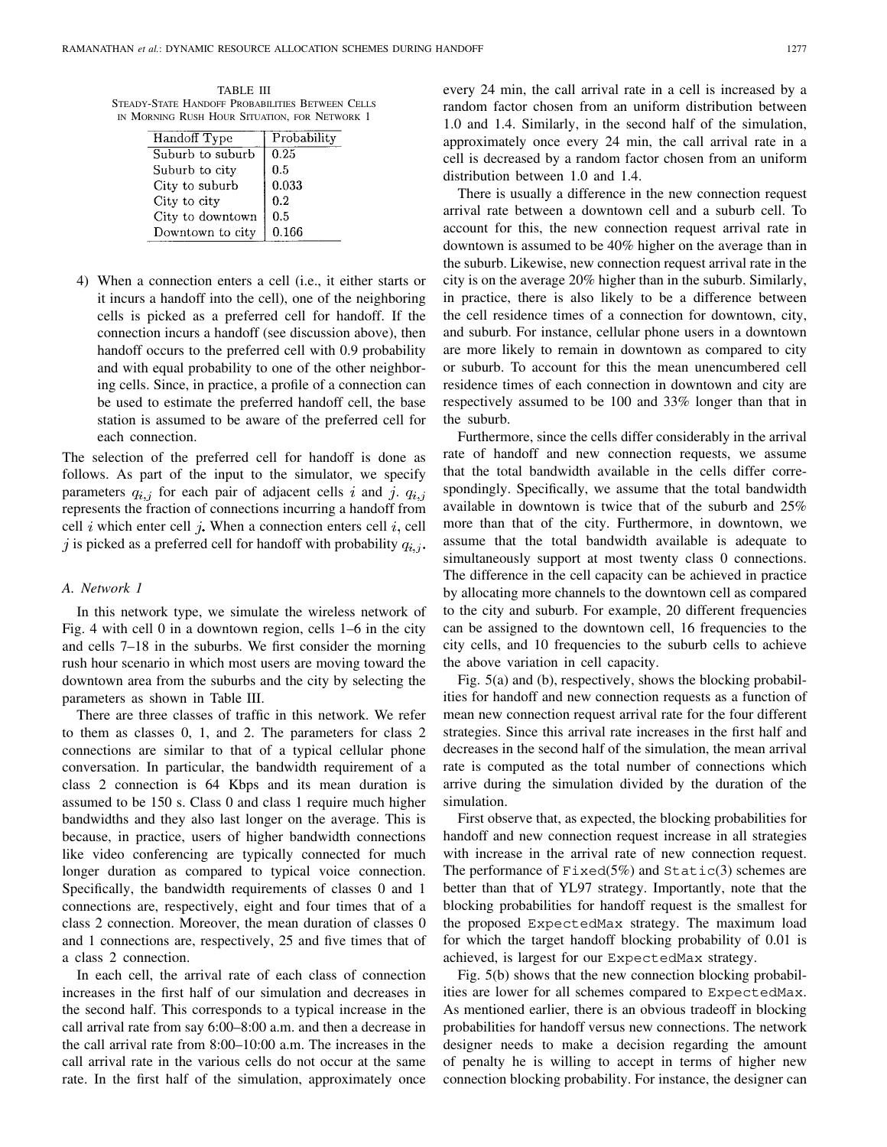TABLE III STEADY-STATE HANDOFF PROBABILITIES BETWEEN CELLS IN MORNING RUSH HOUR SITUATION, FOR NETWORK 1

| Handoff Type     | Probability |
|------------------|-------------|
| Suburb to suburb | 0.25        |
| Suburb to city   | $0.5\,$     |
| City to suburb   | 0.033       |
| City to city     | 0.2         |
| City to downtown | 0.5         |
| Downtown to city | 0.166       |

4) When a connection enters a cell (i.e., it either starts or it incurs a handoff into the cell), one of the neighboring cells is picked as a preferred cell for handoff. If the connection incurs a handoff (see discussion above), then handoff occurs to the preferred cell with 0.9 probability and with equal probability to one of the other neighboring cells. Since, in practice, a profile of a connection can be used to estimate the preferred handoff cell, the base station is assumed to be aware of the preferred cell for each connection.

The selection of the preferred cell for handoff is done as follows. As part of the input to the simulator, we specify parameters  $q_{i,j}$  for each pair of adjacent cells i and j.  $q_{i,j}$ represents the fraction of connections incurring a handoff from cell i which enter cell j. When a connection enters cell i, cell j is picked as a preferred cell for handoff with probability  $q_{i,j}$ .

## *A. Network 1*

In this network type, we simulate the wireless network of Fig. 4 with cell 0 in a downtown region, cells 1–6 in the city and cells 7–18 in the suburbs. We first consider the morning rush hour scenario in which most users are moving toward the downtown area from the suburbs and the city by selecting the parameters as shown in Table III.

There are three classes of traffic in this network. We refer to them as classes 0, 1, and 2. The parameters for class 2 connections are similar to that of a typical cellular phone conversation. In particular, the bandwidth requirement of a class 2 connection is 64 Kbps and its mean duration is assumed to be 150 s. Class 0 and class 1 require much higher bandwidths and they also last longer on the average. This is because, in practice, users of higher bandwidth connections like video conferencing are typically connected for much longer duration as compared to typical voice connection. Specifically, the bandwidth requirements of classes 0 and 1 connections are, respectively, eight and four times that of a class 2 connection. Moreover, the mean duration of classes 0 and 1 connections are, respectively, 25 and five times that of a class 2 connection.

In each cell, the arrival rate of each class of connection increases in the first half of our simulation and decreases in the second half. This corresponds to a typical increase in the call arrival rate from say 6:00–8:00 a.m. and then a decrease in the call arrival rate from 8:00–10:00 a.m. The increases in the call arrival rate in the various cells do not occur at the same rate. In the first half of the simulation, approximately once every 24 min, the call arrival rate in a cell is increased by a random factor chosen from an uniform distribution between 1.0 and 1.4. Similarly, in the second half of the simulation, approximately once every 24 min, the call arrival rate in a cell is decreased by a random factor chosen from an uniform distribution between 1.0 and 1.4.

There is usually a difference in the new connection request arrival rate between a downtown cell and a suburb cell. To account for this, the new connection request arrival rate in downtown is assumed to be 40% higher on the average than in the suburb. Likewise, new connection request arrival rate in the city is on the average 20% higher than in the suburb. Similarly, in practice, there is also likely to be a difference between the cell residence times of a connection for downtown, city, and suburb. For instance, cellular phone users in a downtown are more likely to remain in downtown as compared to city or suburb. To account for this the mean unencumbered cell residence times of each connection in downtown and city are respectively assumed to be 100 and 33% longer than that in the suburb.

Furthermore, since the cells differ considerably in the arrival rate of handoff and new connection requests, we assume that the total bandwidth available in the cells differ correspondingly. Specifically, we assume that the total bandwidth available in downtown is twice that of the suburb and 25% more than that of the city. Furthermore, in downtown, we assume that the total bandwidth available is adequate to simultaneously support at most twenty class 0 connections. The difference in the cell capacity can be achieved in practice by allocating more channels to the downtown cell as compared to the city and suburb. For example, 20 different frequencies can be assigned to the downtown cell, 16 frequencies to the city cells, and 10 frequencies to the suburb cells to achieve the above variation in cell capacity.

Fig. 5(a) and (b), respectively, shows the blocking probabilities for handoff and new connection requests as a function of mean new connection request arrival rate for the four different strategies. Since this arrival rate increases in the first half and decreases in the second half of the simulation, the mean arrival rate is computed as the total number of connections which arrive during the simulation divided by the duration of the simulation.

First observe that, as expected, the blocking probabilities for handoff and new connection request increase in all strategies with increase in the arrival rate of new connection request. The performance of  $Fixed(5%)$  and  $Static(3)$  schemes are better than that of YL97 strategy. Importantly, note that the blocking probabilities for handoff request is the smallest for the proposed ExpectedMax strategy. The maximum load for which the target handoff blocking probability of 0.01 is achieved, is largest for our ExpectedMax strategy.

Fig. 5(b) shows that the new connection blocking probabilities are lower for all schemes compared to ExpectedMax. As mentioned earlier, there is an obvious tradeoff in blocking probabilities for handoff versus new connections. The network designer needs to make a decision regarding the amount of penalty he is willing to accept in terms of higher new connection blocking probability. For instance, the designer can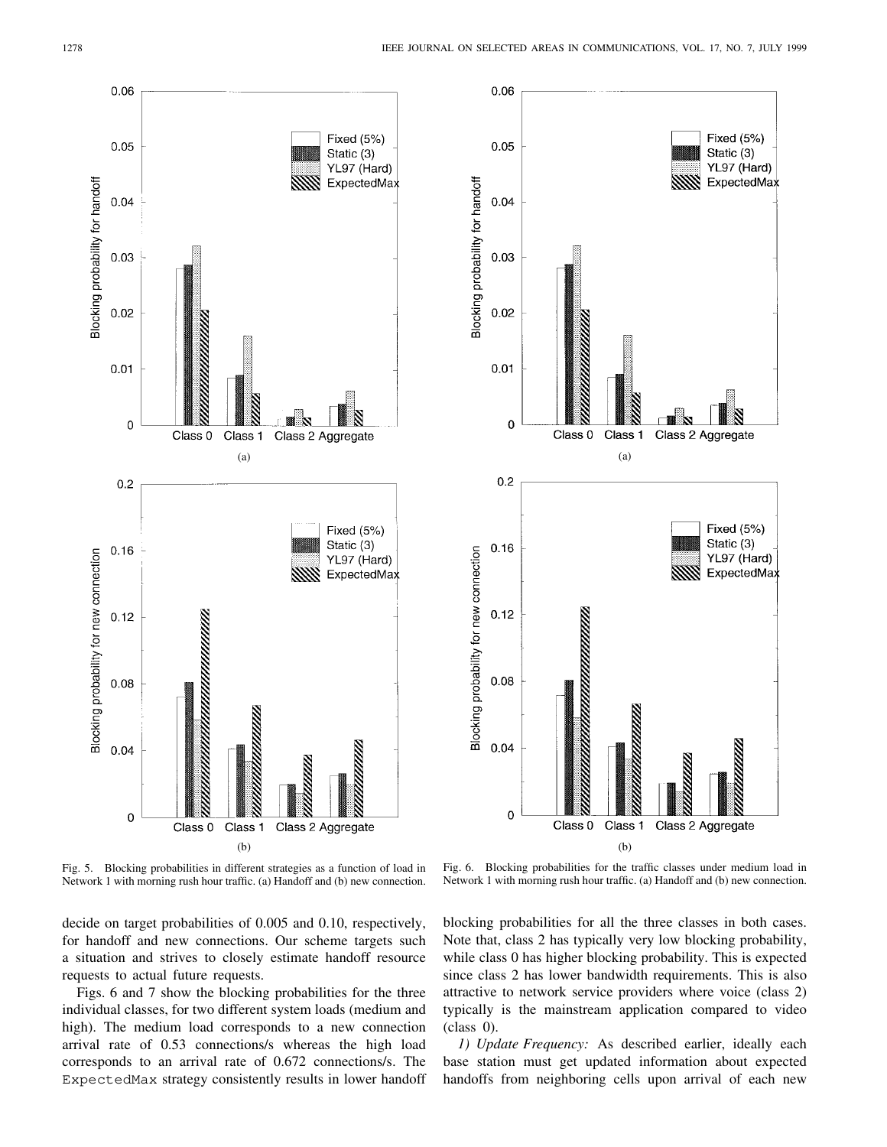



Fig. 5. Blocking probabilities in different strategies as a function of load in Network 1 with morning rush hour traffic. (a) Handoff and (b) new connection.

Fig. 6. Blocking probabilities for the traffic classes under medium load in Network 1 with morning rush hour traffic. (a) Handoff and (b) new connection.

decide on target probabilities of 0.005 and 0.10, respectively, for handoff and new connections. Our scheme targets such a situation and strives to closely estimate handoff resource requests to actual future requests.

Figs. 6 and 7 show the blocking probabilities for the three individual classes, for two different system loads (medium and high). The medium load corresponds to a new connection arrival rate of 0.53 connections/s whereas the high load corresponds to an arrival rate of 0.672 connections/s. The ExpectedMax strategy consistently results in lower handoff

blocking probabilities for all the three classes in both cases. Note that, class 2 has typically very low blocking probability, while class 0 has higher blocking probability. This is expected since class 2 has lower bandwidth requirements. This is also attractive to network service providers where voice (class 2) typically is the mainstream application compared to video (class 0).

*1) Update Frequency:* As described earlier, ideally each base station must get updated information about expected handoffs from neighboring cells upon arrival of each new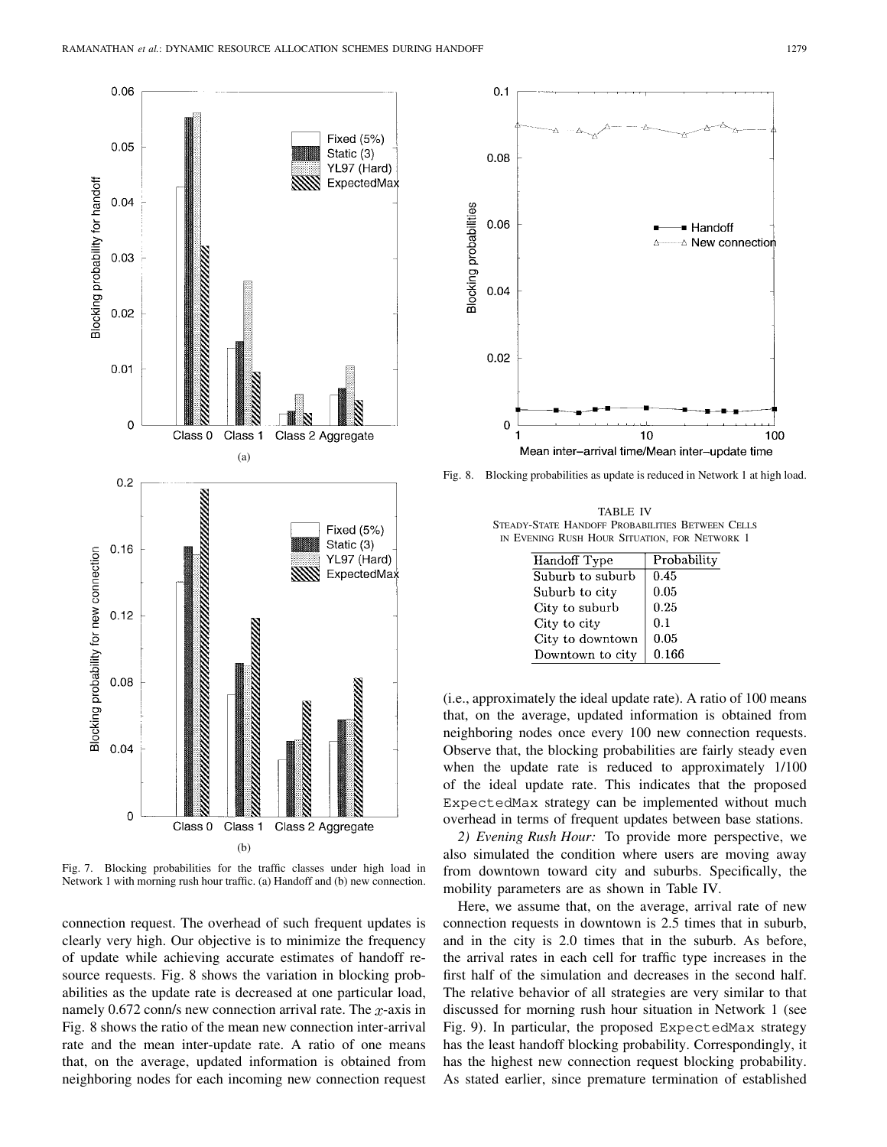

Fig. 7. Blocking probabilities for the traffic classes under high load in Network 1 with morning rush hour traffic. (a) Handoff and (b) new connection.

connection request. The overhead of such frequent updates is clearly very high. Our objective is to minimize the frequency of update while achieving accurate estimates of handoff resource requests. Fig. 8 shows the variation in blocking probabilities as the update rate is decreased at one particular load, namely 0.672 conn/s new connection arrival rate. The  $x$ -axis in Fig. 8 shows the ratio of the mean new connection inter-arrival rate and the mean inter-update rate. A ratio of one means that, on the average, updated information is obtained from neighboring nodes for each incoming new connection request



Fig. 8. Blocking probabilities as update is reduced in Network 1 at high load.

TABLE IV STEADY-STATE HANDOFF PROBABILITIES BETWEEN CELLS IN EVENING RUSH HOUR SITUATION, FOR NETWORK 1

| Handoff Type     | Probability |
|------------------|-------------|
| Suburb to suburb | 0.45        |
| Suburb to city   | 0.05        |
| City to suburb   | 0.25        |
| City to city     | 0.1         |
| City to downtown | 0.05        |
| Downtown to city | 0.166       |

(i.e., approximately the ideal update rate). A ratio of 100 means that, on the average, updated information is obtained from neighboring nodes once every 100 new connection requests. Observe that, the blocking probabilities are fairly steady even when the update rate is reduced to approximately 1/100 of the ideal update rate. This indicates that the proposed ExpectedMax strategy can be implemented without much overhead in terms of frequent updates between base stations.

*2) Evening Rush Hour:* To provide more perspective, we also simulated the condition where users are moving away from downtown toward city and suburbs. Specifically, the mobility parameters are as shown in Table IV.

Here, we assume that, on the average, arrival rate of new connection requests in downtown is 2.5 times that in suburb, and in the city is 2.0 times that in the suburb. As before, the arrival rates in each cell for traffic type increases in the first half of the simulation and decreases in the second half. The relative behavior of all strategies are very similar to that discussed for morning rush hour situation in Network 1 (see Fig. 9). In particular, the proposed ExpectedMax strategy has the least handoff blocking probability. Correspondingly, it has the highest new connection request blocking probability. As stated earlier, since premature termination of established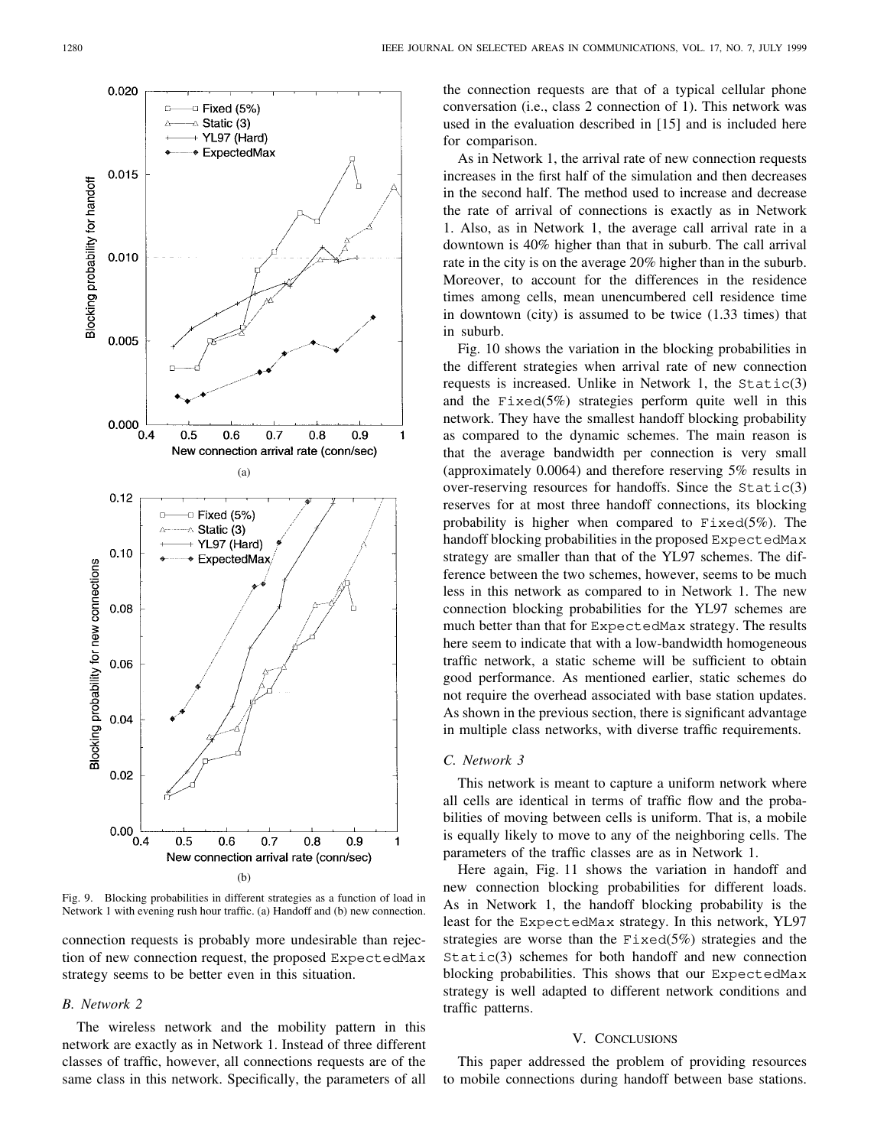

Fig. 9. Blocking probabilities in different strategies as a function of load in Network 1 with evening rush hour traffic. (a) Handoff and (b) new connection.

connection requests is probably more undesirable than rejection of new connection request, the proposed ExpectedMax strategy seems to be better even in this situation.

## *B. Network 2*

The wireless network and the mobility pattern in this network are exactly as in Network 1. Instead of three different classes of traffic, however, all connections requests are of the same class in this network. Specifically, the parameters of all

the connection requests are that of a typical cellular phone conversation (i.e., class 2 connection of 1). This network was used in the evaluation described in [15] and is included here for comparison.

As in Network 1, the arrival rate of new connection requests increases in the first half of the simulation and then decreases in the second half. The method used to increase and decrease the rate of arrival of connections is exactly as in Network 1. Also, as in Network 1, the average call arrival rate in a downtown is 40% higher than that in suburb. The call arrival rate in the city is on the average 20% higher than in the suburb. Moreover, to account for the differences in the residence times among cells, mean unencumbered cell residence time in downtown (city) is assumed to be twice (1.33 times) that in suburb.

Fig. 10 shows the variation in the blocking probabilities in the different strategies when arrival rate of new connection requests is increased. Unlike in Network 1, the  $Static(3)$ and the Fixed(5%) strategies perform quite well in this network. They have the smallest handoff blocking probability as compared to the dynamic schemes. The main reason is that the average bandwidth per connection is very small (approximately 0.0064) and therefore reserving 5% results in over-reserving resources for handoffs. Since the  $Static(3)$ reserves for at most three handoff connections, its blocking probability is higher when compared to  $Fixed(5\%)$ . The handoff blocking probabilities in the proposed ExpectedMax strategy are smaller than that of the YL97 schemes. The difference between the two schemes, however, seems to be much less in this network as compared to in Network 1. The new connection blocking probabilities for the YL97 schemes are much better than that for ExpectedMax strategy. The results here seem to indicate that with a low-bandwidth homogeneous traffic network, a static scheme will be sufficient to obtain good performance. As mentioned earlier, static schemes do not require the overhead associated with base station updates. As shown in the previous section, there is significant advantage in multiple class networks, with diverse traffic requirements.

## *C. Network 3*

This network is meant to capture a uniform network where all cells are identical in terms of traffic flow and the probabilities of moving between cells is uniform. That is, a mobile is equally likely to move to any of the neighboring cells. The parameters of the traffic classes are as in Network 1.

Here again, Fig. 11 shows the variation in handoff and new connection blocking probabilities for different loads. As in Network 1, the handoff blocking probability is the least for the ExpectedMax strategy. In this network, YL97 strategies are worse than the  $Fixed(5%)$  strategies and the Static(3) schemes for both handoff and new connection blocking probabilities. This shows that our ExpectedMax strategy is well adapted to different network conditions and traffic patterns.

#### V. CONCLUSIONS

This paper addressed the problem of providing resources to mobile connections during handoff between base stations.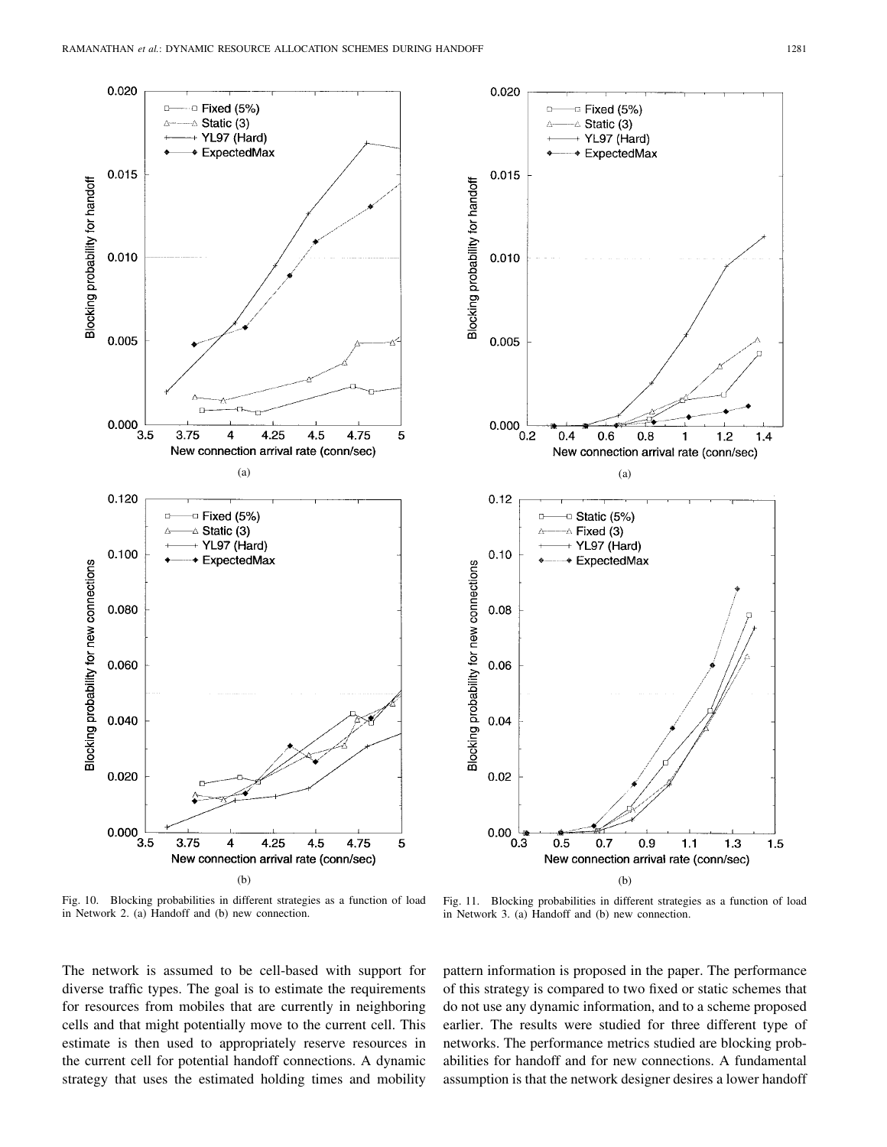0.020

0.015

 $0.010$ 

0.005

0.120

0.100

0.080

0.060

0.040

0.020

0.000

Blocking probability for new connections

Blocking probability for handoff



Fig. 10. Blocking probabilities in different strategies as a function of load

in Network 2. (a) Handoff and (b) new connection.

Fig. 11. Blocking probabilities in different strategies as a function of load in Network 3. (a) Handoff and (b) new connection.

The network is assumed to be cell-based with support for diverse traffic types. The goal is to estimate the requirements for resources from mobiles that are currently in neighboring cells and that might potentially move to the current cell. This estimate is then used to appropriately reserve resources in the current cell for potential handoff connections. A dynamic strategy that uses the estimated holding times and mobility

pattern information is proposed in the paper. The performance of this strategy is compared to two fixed or static schemes that do not use any dynamic information, and to a scheme proposed earlier. The results were studied for three different type of networks. The performance metrics studied are blocking probabilities for handoff and for new connections. A fundamental assumption is that the network designer desires a lower handoff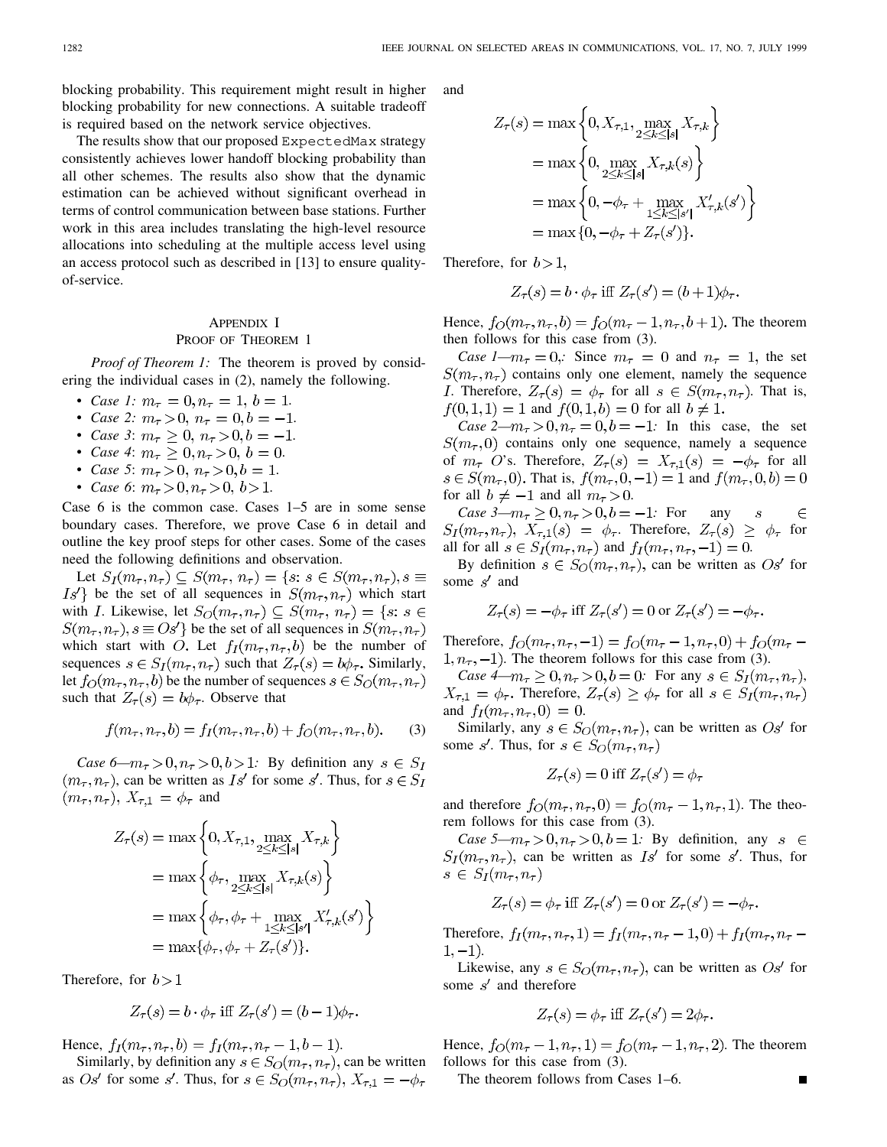blocking probability. This requirement might result in higher blocking probability for new connections. A suitable tradeoff is required based on the network service objectives.

The results show that our proposed ExpectedMax strategy consistently achieves lower handoff blocking probability than all other schemes. The results also show that the dynamic estimation can be achieved without significant overhead in terms of control communication between base stations. Further work in this area includes translating the high-level resource allocations into scheduling at the multiple access level using an access protocol such as described in [13] to ensure qualityof-service.

# APPENDIX I PROOF OF THEOREM 1

*Proof of Theorem 1:* The theorem is proved by considering the individual cases in (2), namely the following.

- *Case 1:*  $m_{\tau} = 0, n_{\tau} = 1, b = 1.$
- *Case 2:*  $m_{\tau} > 0$ ,  $n_{\tau} = 0$ ,  $b = -1$ .
- *Case 3*:  $m_{\tau} \ge 0$ ,  $n_{\tau} > 0$ ,  $b = -1$ .
- *Case 4*:  $m_{\tau} \geq 0, n_{\tau} > 0, b = 0.$
- *Case 5*:  $m_{\tau} > 0$ ,  $n_{\tau} > 0$ ,  $b = 1$ .
- *Case* 6:  $m_\tau > 0, n_\tau > 0, b > 1$ .

Case 6 is the common case. Cases 1–5 are in some sense boundary cases. Therefore, we prove Case 6 in detail and outline the key proof steps for other cases. Some of the cases need the following definitions and observation.

Let  $S_I(m_\tau, n_\tau) \subseteq S(m_\tau, n_\tau) = \{s : s \in S(m_\tau, n_\tau), s \equiv$  $Is'$  be the set of all sequences in  $S(m_\tau, n_\tau)$  which start with *I*. Likewise, let  $S_O(m_\tau, n_\tau) \subseteq S(m_\tau, n_\tau) = \{s : s \in$  $S(m_{\tau}, n_{\tau}), s \equiv Os'$  be the set of all sequences in  $S(m_{\tau}, n_{\tau})$ which start with O. Let  $f_I(m_\tau, n_\tau, b)$  be the number of sequences  $s \in S_I(m_\tau, n_\tau)$  such that  $Z_\tau(s) = b\phi_\tau$ . Similarly, let  $f_O(m_\tau, n_\tau, b)$  be the number of sequences  $s \in S_O(m_\tau, n_\tau)$ such that  $Z_{\tau}(s) = b\phi_{\tau}$ . Observe that

$$
f(m_{\tau}, n_{\tau}, b) = f_I(m_{\tau}, n_{\tau}, b) + f_O(m_{\tau}, n_{\tau}, b).
$$
 (3)

*Case* 6— $m_{\tau} > 0, n_{\tau} > 0, b > 1$ : By definition any  $s \in S_I$  $(m_{\tau}, n_{\tau})$ , can be written as  $Is'$  for some s'. Thus, for  $s \in S_I$  $(m_{\tau}, n_{\tau}), X_{\tau,1} = \phi_{\tau}$  and

$$
Z_{\tau}(s) = \max\left\{0, X_{\tau,1}, \max_{2 \le k \le |s|} X_{\tau,k}\right\}
$$
  
= 
$$
\max\left\{\phi_{\tau}, \max_{2 \le k \le |s|} X_{\tau,k}(s)\right\}
$$
  
= 
$$
\max\left\{\phi_{\tau}, \phi_{\tau} + \max_{1 \le k \le |s'|} X_{\tau,k}'(s')\right\}
$$
  
= 
$$
\max\{\phi_{\tau}, \phi_{\tau} + Z_{\tau}(s')\}.
$$

Therefore, for  $b > 1$ 

$$
Z_{\tau}(s) = b \cdot \phi_{\tau} \text{ iff } Z_{\tau}(s') = (b-1)\phi_{\tau}.
$$

Hence,  $f_I(m_\tau, n_\tau, b) = f_I(m_\tau, n_\tau - 1, b - 1)$ .

Similarly, by definition any  $s \in S_O(m_\tau, n_\tau)$ , can be written as *Os'* for some s'. Thus, for  $s \in S_O(m_\tau, n_\tau)$ ,  $X_{\tau,1} = -\phi_\tau$ 

and

$$
Z_{\tau}(s) = \max \left\{ 0, X_{\tau,1}, \max_{2 \le k \le |s|} X_{\tau,k} \right\}
$$
  
= 
$$
\max \left\{ 0, \max_{2 \le k \le |s|} X_{\tau,k}(s) \right\}
$$
  
= 
$$
\max \left\{ 0, -\phi_{\tau} + \max_{1 \le k \le |s'|} X'_{\tau,k}(s') \right\}
$$
  
= 
$$
\max \{ 0, -\phi_{\tau} + Z_{\tau}(s') \}.
$$

Therefore, for  $b > 1$ ,

$$
Z_{\tau}(s) = b \cdot \phi_{\tau} \text{ iff } Z_{\tau}(s') = (b+1)\phi_{\tau}.
$$

Hence,  $f_O(m_\tau, n_\tau, b) = f_O(m_\tau - 1, n_\tau, b + 1)$ . The theorem then follows for this case from (3).

*Case 1—m<sub>τ</sub>* = 0,: Since  $m_{\tau} = 0$  and  $n_{\tau} = 1$ , the set  $S(m_\tau, n_\tau)$  contains only one element, namely the sequence *I*. Therefore,  $Z_{\tau}(s) = \phi_{\tau}$  for all  $s \in S(m_{\tau}, n_{\tau})$ . That is,  $f(0,1,1) = 1$  and  $f(0,1,b) = 0$  for all  $b \neq 1$ .

*Case*  $2-m_{\tau} > 0$ ,  $n_{\tau} = 0$ ,  $b = -1$ : In this case, the set  $S(m_{\tau},0)$  contains only one sequence, namely a sequence of  $m_{\tau}$  O's. Therefore,  $Z_{\tau}(s) = X_{\tau,1}(s) = -\phi_{\tau}$  for all  $s \in S(m_{\tau}, 0)$ . That is,  $f(m_{\tau}, 0, -1) = 1$  and  $f(m_{\tau}, 0, b) = 0$ for all  $b \neq -1$  and all  $m_{\tau} > 0$ .

*Case* 3— $m_{\tau} \ge 0, n_{\tau} > 0, b = -1$ : For any  $\boldsymbol{S}$  $\in$  $S_I(m_\tau, n_\tau)$ ,  $X_{\tau,1}(s) = \phi_\tau$ . Therefore,  $Z_\tau(s) \geq \phi_\tau$  for all for all  $s \in S_I(m_\tau, n_\tau)$  and  $f_I(m_\tau, n_\tau, -1) = 0$ .

By definition  $s \in S_O(m_\tau, n_\tau)$ , can be written as  $Os'$  for some  $s'$  and

$$
Z_{\tau}(s) = -\phi_{\tau} \text{ iff } Z_{\tau}(s') = 0 \text{ or } Z_{\tau}(s') = -\phi_{\tau}.
$$

Therefore,  $f_O(m_\tau, n_\tau, -1) = f_O(m_\tau - 1, n_\tau, 0) + f_O(m_\tau 1, n_{\tau}$ , -1). The theorem follows for this case from (3).

*Case 4—m<sub>* $\tau$ *</sub>*  $\geq 0$ ,  $n_{\tau}$  > 0,  $b = 0$ : For any  $s \in S_I(m_{\tau}, n_{\tau})$ ,  $X_{\tau,1} = \phi_{\tau}$ . Therefore,  $Z_{\tau}(s) \ge \phi_{\tau}$  for all  $s \in S_I(m_{\tau}, n_{\tau})$ and  $f_I(m_{\tau}, n_{\tau}, 0) = 0$ .

Similarly, any  $s \in S_O(m_\tau, n_\tau)$ , can be written as  $Os'$  for some s'. Thus, for  $s \in S_O(m_\tau, n_\tau)$ 

$$
Z_{\tau}(s) = 0 \text{ iff } Z_{\tau}(s') = \phi_{\tau}
$$

and therefore  $f_O(m_\tau, n_\tau, 0) = f_O(m_\tau - 1, n_\tau, 1)$ . The theorem follows for this case from (3).

*Case* 5— $m_\tau > 0$ ,  $n_\tau > 0$ ,  $b = 1$ : By definition, any  $s \in$  $S_I(m_\tau, n_\tau)$ , can be written as  $Is'$  for some s'. Thus, for  $s \in S_I(m_\tau, n_\tau)$ 

$$
Z_{\tau}(s) = \phi_{\tau} \text{ iff } Z_{\tau}(s') = 0 \text{ or } Z_{\tau}(s') = -\phi_{\tau}.
$$

Therefore,  $f_I(m_\tau, n_\tau, 1) = f_I(m_\tau, n_\tau - 1, 0) + f_I(m_\tau, n_\tau 1, -1)$ .

Likewise, any  $s \in S_O(m_\tau, n_\tau)$ , can be written as  $Os'$  for some  $s'$  and therefore

$$
Z_{\tau}(s) = \phi_{\tau} \text{ iff } Z_{\tau}(s') = 2\phi_{\tau}.
$$

Hence,  $f_O(m_\tau - 1, n_\tau, 1) = f_O(m_\tau - 1, n_\tau, 2)$ . The theorem follows for this case from (3).

The theorem follows from Cases 1–6.